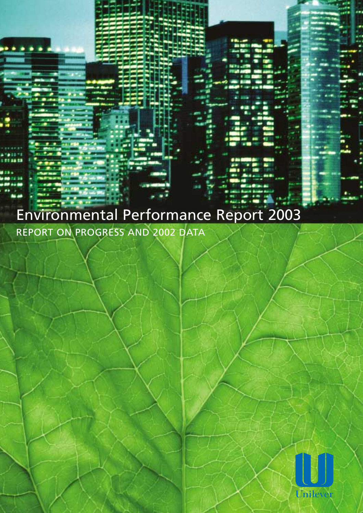## Environmental Performance Report 2003 REPORT ON PROGRESS AND 2002 DATA

Unileve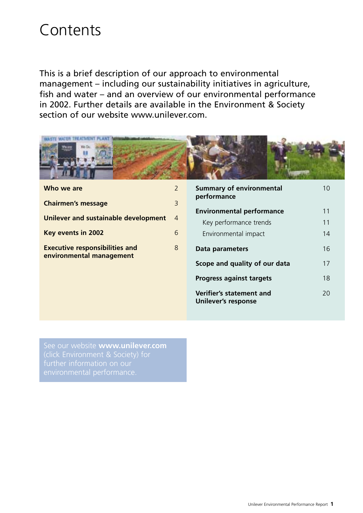## Contents

This is a brief description of our approach to environmental management – including our sustainability initiatives in agriculture, fish and water – and an overview of our environmental performance in 2002. Further details are available in the Environment & Society section of our website www.unilever.com.



| $\overline{2}$<br>Who we are                                           | <b>Summary of environmental</b><br>performance         | 10 |
|------------------------------------------------------------------------|--------------------------------------------------------|----|
| $\overline{3}$<br><b>Chairmen's message</b>                            |                                                        |    |
| Unilever and sustainable development<br>$\overline{4}$                 | <b>Environmental performance</b>                       | 11 |
|                                                                        | Key performance trends                                 | 11 |
| 6<br>Key events in 2002                                                | Environmental impact                                   | 14 |
| 8<br><b>Executive responsibilities and</b><br>environmental management | Data parameters                                        | 16 |
|                                                                        | Scope and quality of our data                          | 17 |
|                                                                        | <b>Progress against targets</b>                        | 18 |
|                                                                        | Verifier's statement and<br><b>Unilever's response</b> | 20 |

See our website **www.unilever.com**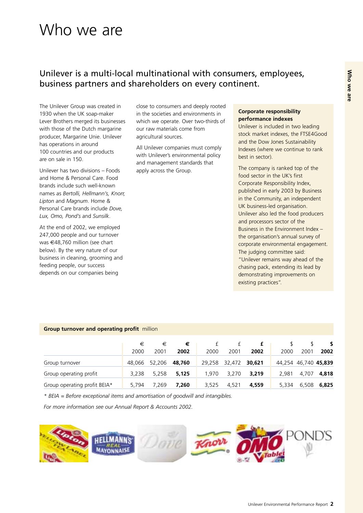## Who we are **Who we are**

## Who we are

### Unilever is a multi-local multinational with consumers, employees, business partners and shareholders on every continent.

The Unilever Group was created in 1930 when the UK soap-maker Lever Brothers merged its businesses with those of the Dutch margarine producer, Margarine Unie. Unilever has operations in around 100 countries and our products are on sale in 150.

Unilever has two divisions – Foods and Home & Personal Care. Food brands include such well-known names as *Bertolli, Hellmann's, Knorr, Lipton* and *Magnum*. Home & Personal Care brands include *Dove, Lux, Omo, Pond's* and *Sunsilk*.

At the end of 2002, we employed 247,000 people and our turnover was €48,760 million (see chart below). By the very nature of our business in cleaning, grooming and feeding people, our success depends on our companies being

close to consumers and deeply rooted in the societies and environments in which we operate. Over two-thirds of our raw materials come from agricultural sources.

All Unilever companies must comply with Unilever's environmental policy and management standards that apply across the Group.

### **Corporate responsibility performance indexes**

Unilever is included in two leading stock market indexes, the FTSE4Good and the Dow Jones Sustainability Indexes (where we continue to rank best in sector).

The company is ranked top of the food sector in the UK's first Corporate Responsibility Index, published in early 2003 by Business in the Community, an independent UK business-led organisation. Unilever also led the food producers and processors sector of the Business in the Environment Index – the organisation's annual survey of corporate environmental engagement. The judging committee said: "Unilever remains way ahead of the chasing pack, extending its lead by demonstrating improvements on existing practices".

### **Group turnover and operating profit** million

|                              | €     | €             | €      |       |               |        |       |                      |             |
|------------------------------|-------|---------------|--------|-------|---------------|--------|-------|----------------------|-------------|
|                              | 2000  | 2001          | 2002   | 2000  | 2001          | 2002   | 2000  | 2001                 | 2002        |
| Group turnover               |       | 48.066 52.206 | 48,760 |       | 29,258 32,472 | 30,621 |       | 44,254 46,740 45,839 |             |
| Group operating profit       | 3.238 | 5.258         | 5,125  | 1.970 | 3.270         | 3,219  | 2.981 |                      | 4,707 4,818 |
| Group operating profit BEIA* | 5.794 | 7.269         | 7.260  | 3.525 | 4.521         | 4,559  | 5,334 |                      | 6,508 6,825 |

*\* BEIA = Before exceptional items and amortisation of goodwill and intangibles.* 

*For more information see our Annual Report & Accounts 2002.* 

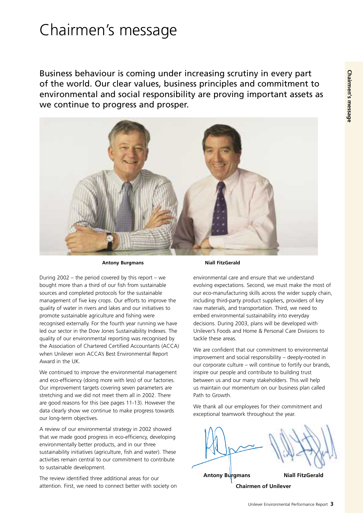## Chairmen's message

Business behaviour is coming under increasing scrutiny in every part of the world. Our clear values, business principles and commitment to environmental and social responsibility are proving important assets as we continue to progress and prosper.



During 2002 – the period covered by this report – we bought more than a third of our fish from sustainable sources and completed protocols for the sustainable management of five key crops. Our efforts to improve the quality of water in rivers and lakes and our initiatives to promote sustainable agriculture and fishing were recognised externally. For the fourth year running we have led our sector in the Dow Jones Sustainability Indexes. The quality of our environmental reporting was recognised by the Association of Chartered Certified Accountants (ACCA) when Unilever won ACCA's Best Environmental Report Award in the UK.

We continued to improve the environmental management and eco-efficiency (doing more with less) of our factories. Our improvement targets covering seven parameters are stretching and we did not meet them all in 2002. There are good reasons for this (see pages 11-13). However the data clearly show we continue to make progress towards our long-term objectives.

A review of our environmental strategy in 2002 showed that we made good progress in eco-efficiency, developing environmentally better products, and in our three sustainability initiatives (agriculture, fish and water). These activities remain central to our commitment to contribute to sustainable development.

The review identified three additional areas for our attention. First, we need to connect better with society on

#### Antony Burgmans **Niall FitzGerald**

environmental care and ensure that we understand evolving expectations. Second, we must make the most of our eco-manufacturing skills across the wider supply chain, including third-party product suppliers, providers of key raw materials, and transportation. Third, we need to embed environmental sustainability into everyday decisions. During 2003, plans will be developed with Unilever's Foods and Home & Personal Care Divisions to tackle these areas.

We are confident that our commitment to environmental improvement and social responsibility – deeply-rooted in our corporate culture – will continue to fortify our brands, inspire our people and contribute to building trust between us and our many stakeholders. This will help us maintain our momentum on our business plan called Path to Growth.

We thank all our employees for their commitment and exceptional teamwork throughout the year.

**Niall FitzGerald Chairmen of Unilever Antony Burgmans**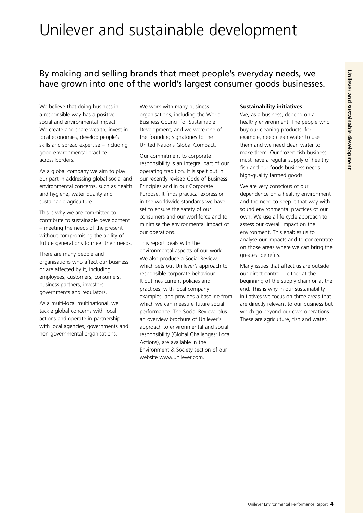## Unilever and sustainable development

## By making and selling brands that meet people's everyday needs, we have grown into one of the world's largest consumer goods businesses.

We believe that doing business in a responsible way has a positive social and environmental impact. We create and share wealth, invest in local economies, develop people's skills and spread expertise – including good environmental practice – across borders.

As a global company we aim to play our part in addressing global social and environmental concerns, such as health and hygiene, water quality and sustainable agriculture.

This is why we are committed to contribute to sustainable development – meeting the needs of the present without compromising the ability of future generations to meet their needs.

There are many people and organisations who affect our business or are affected by it, including employees, customers, consumers, business partners, investors, governments and regulators.

As a multi-local multinational, we tackle global concerns with local actions and operate in partnership with local agencies, governments and non-governmental organisations.

We work with many business organisations, including the World Business Council for Sustainable Development, and we were one of the founding signatories to the United Nations Global Compact.

Our commitment to corporate responsibility is an integral part of our operating tradition. It is spelt out in our recently revised Code of Business Principles and in our Corporate Purpose. It finds practical expression in the worldwide standards we have set to ensure the safety of our consumers and our workforce and to minimise the environmental impact of our operations.

This report deals with the environmental aspects of our work. We also produce a Social Review, which sets out Unilever's approach to responsible corporate behaviour. It outlines current policies and practices, with local company examples, and provides a baseline from which we can measure future social performance. The Social Review, plus an overview brochure of Unilever's approach to environmental and social responsibility (Global Challenges: Local Actions), are available in the Environment & Society section of our website www.unilever.com.

### **Sustainability initiatives**

We, as a business, depend on a healthy environment. The people who buy our cleaning products, for example, need clean water to use them and we need clean water to make them. Our frozen fish business must have a regular supply of healthy fish and our foods business needs high-quality farmed goods.

We are very conscious of our dependence on a healthy environment and the need to keep it that way with sound environmental practices of our own. We use a life cycle approach to assess our overall impact on the environment. This enables us to analyse our impacts and to concentrate on those areas where we can bring the greatest benefits.

Many issues that affect us are outside our direct control – either at the beginning of the supply chain or at the end. This is why in our sustainability initiatives we focus on three areas that are directly relevant to our business but which go beyond our own operations. These are agriculture, fish and water.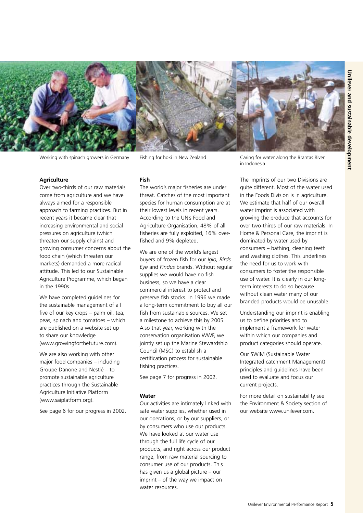

Working with spinach growers in Germany

Fishing for hoki in New Zealand

#### **Agriculture**

Over two-thirds of our raw materials come from agriculture and we have always aimed for a responsible approach to farming practices. But in recent years it became clear that increasing environmental and social pressures on agriculture (which threaten our supply chains) and growing consumer concerns about the food chain (which threaten our markets) demanded a more radical attitude. This led to our Sustainable Agriculture Programme, which began in the 1990s.

We have completed quidelines for the sustainable management of all five of our key crops – palm oil, tea, peas, spinach and tomatoes – which are published on a website set up to share our knowledge (www.growingforthefuture.com).

We are also working with other major food companies – including Groupe Danone and Nestlé – to promote sustainable agriculture practices through the Sustainable Agriculture Initiative Platform (www.saiplatform.org).

See page 6 for our progress in 2002.

#### **Fish**

The world's major fisheries are under threat. Catches of the most important species for human consumption are at their lowest levels in recent years. According to the UN's Food and Agriculture Organisation, 48% of all fisheries are fully exploited, 16% overfished and 9% depleted.

We are one of the world's largest buyers of frozen fish for our *Iglo, Birds Eye* and *Findus* brands. Without regular supplies we would have no fish business, so we have a clear commercial interest to protect and preserve fish stocks. In 1996 we made a long-term commitment to buy all our fish from sustainable sources. We set a milestone to achieve this by 2005. Also that year, working with the conservation organisation WWF, we jointly set up the Marine Stewardship Council (MSC) to establish a certification process for sustainable fishing practices.

See page 7 for progress in 2002.

#### **Water**

Our activities are intimately linked with safe water supplies, whether used in our operations, or by our suppliers, or by consumers who use our products. We have looked at our water use through the full life cycle of our products, and right across our product range, from raw material sourcing to consumer use of our products. This has given us a global picture – our imprint – of the way we impact on water resources.

Caring for water along the Brantas River in Indonesia

The imprints of our two Divisions are quite different. Most of the water used in the Foods Division is in agriculture. We estimate that half of our overall water imprint is associated with growing the produce that accounts for over two-thirds of our raw materials. In Home & Personal Care, the imprint is dominated by water used by consumers – bathing, cleaning teeth and washing clothes. This underlines the need for us to work with consumers to foster the responsible use of water. It is clearly in our longterm interests to do so because without clean water many of our branded products would be unusable.

Understanding our imprint is enabling us to define priorities and to implement a framework for water within which our companies and product categories should operate.

Our SWIM (Sustainable Water Integrated catchment Management) principles and guidelines have been used to evaluate and focus our current projects.

For more detail on sustainability see the Environment & Society section of our website www.unilever.com.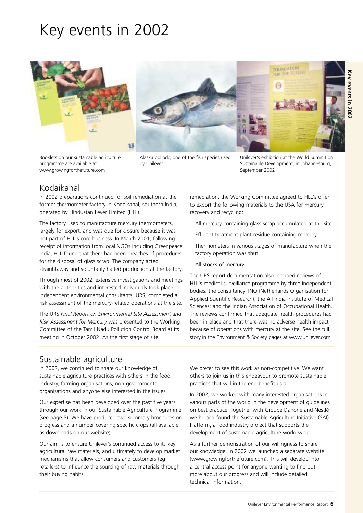## Key events in 2002



Booklets on our sustainable agriculture Alaska pollock, one of the fish species used programme are available at by Unilever www.growingforthefuture.com

Unilever's exhibition at the World Summit on Sustainable Development, in Johannesburg, September 2002

## Kodaikanal

In 2002 preparations continued for soil remediation at the former thermometer factory in Kodaikanal, southern India, operated by Hindustan Lever Limited (HLL).

The factory used to manufacture mercury thermometers, largely for export, and was due for closure because it was not part of HLL's core business. In March 2001, following receipt of information from local NGOs including Greenpeace India, HLL found that there had been breaches of procedures for the disposal of glass scrap. The company acted straightaway and voluntarily halted production at the factory.

Through most of 2002, extensive investigations and meetings with the authorities and interested individuals took place. Independent environmental consultants, URS, completed a risk assessment of the mercury-related operations at the site.

The URS *Final Report on Environmental Site Assessment and Risk Assessment for Mercury* was presented to the Working Committee of the Tamil Nadu Pollution Control Board at its meeting in October 2002. As the first stage of site

remediation, the Working Committee agreed to HLL's offer to export the following materials to the USA for mercury recovery and recycling:

- All mercury-containing glass scrap accumulated at the site
- Effluent treatment plant residue containing mercury
- Thermometers in various stages of manufacture when the factory operation was shut
- All stocks of mercury.

The URS report documentation also included reviews of HLL's medical surveillance programme by three independent bodies: the consultancy TNO (Netherlands Organisation for Applied Scientific Research); the All India Institute of Medical Sciences; and the Indian Association of Occupational Health. The reviews confirmed that adequate health procedures had been in place and that there was no adverse health impact because of operations with mercury at the site. See the full story in the Environment & Society pages at www.unilever.com.

### Sustainable agriculture

In 2002, we continued to share our knowledge of sustainable agriculture practices with others in the food industry, farming organisations, non-governmental organisations and anyone else interested in the issues.

Our expertise has been developed over the past five years through our work in our Sustainable Agriculture Programme (see page 5). We have produced two summary brochures on progress and a number covering specific crops (all available as downloads on our website).

Our aim is to ensure Unilever's continued access to its key agricultural raw materials, and ultimately to develop market mechanisms that allow consumers and customers (eg retailers) to influence the sourcing of raw materials through their buying habits.

We prefer to see this work as non-competitive. We want others to join us in this endeavour to promote sustainable practices that will in the end benefit us all.

In 2002, we worked with many interested organisations in various parts of the world in the development of guidelines on best practice. Together with Groupe Danone and Nestlé we helped found the Sustainable Agriculture Initiative (SAI) Platform, a food industry project that supports the development of sustainable agriculture world-wide.

As a further demonstration of our willingness to share our knowledge, in 2002 we launched a separate website (www.growingforthefuture.com). This will develop into a central access point for anyone wanting to find out more about our progress and will include detailed technical information.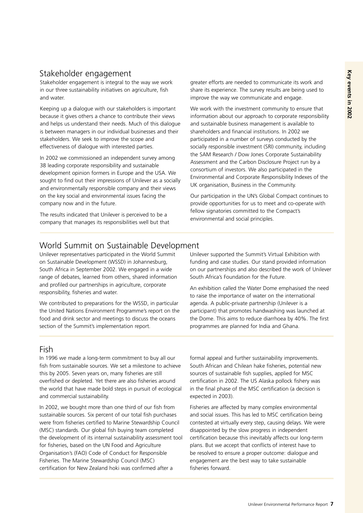### Stakeholder engagement

Stakeholder engagement is integral to the way we work in our three sustainability initiatives on agriculture, fish and water.

Keeping up a dialogue with our stakeholders is important because it gives others a chance to contribute their views and helps us understand their needs. Much of this dialogue is between managers in our individual businesses and their stakeholders. We seek to improve the scope and effectiveness of dialogue with interested parties.

In 2002 we commissioned an independent survey among 38 leading corporate responsibility and sustainable development opinion formers in Europe and the USA. We sought to find out their impressions of Unilever as a socially and environmentally responsible company and their views on the key social and environmental issues facing the company now and in the future.

The results indicated that Unilever is perceived to be a company that manages its responsibilities well but that greater efforts are needed to communicate its work and share its experience. The survey results are being used to improve the way we communicate and engage.

We work with the investment community to ensure that information about our approach to corporate responsibility and sustainable business management is available to shareholders and financial institutions. In 2002 we participated in a number of surveys conducted by the socially responsible investment (SRI) community, including the SAM Research / Dow Jones Corporate Sustainability Assessment and the Carbon Disclosure Project run by a consortium of investors. We also participated in the Environmental and Corporate Responsibility Indexes of the UK organisation, Business in the Community.

Our participation in the UN's Global Compact continues to provide opportunities for us to meet and co-operate with fellow signatories committed to the Compact's environmental and social principles.

### World Summit on Sustainable Development

Unilever representatives participated in the World Summit Unilever supported the Summit's Virtual Exhibition with on Sustainable Development (WSSD) in Johannesburg, funding and case studies. Our stand provided information range of debates, learned from others, shared information South Africa's Foundation for the Future. and profiled our partnerships in agriculture, corporate<br>
An exhibition called the Water Dome emphasised the need<br>
to raise the importance of water on the international

We contributed to preparations for the WSSD, in particular agenda. A public-private partnership (Unilever is a the United Nations Environment Programme's report on the participant) that promotes handwashing was launched at food and drink sector and meetings to discuss the oceans the Dome. This aims to reduce diarrhoea by 40%. The first section of the Summit's implementation report. programmes are planned for India and Ghana.

South Africa in September 2002. We engaged in a wide on our partnerships and also described the work of Unilever

### Fish

In 1996 we made a long-term commitment to buy all our fish from sustainable sources. We set a milestone to achieve this by 2005. Seven years on, many fisheries are still overfished or depleted. Yet there are also fisheries around the world that have made bold steps in pursuit of ecological and commercial sustainability.

In 2002, we bought more than one third of our fish from sustainable sources. Six percent of our total fish purchases were from fisheries certified to Marine Stewardship Council (MSC) standards. Our global fish buying team completed the development of its internal sustainability assessment tool for fisheries, based on the UN Food and Agriculture Organisation's (FAO) Code of Conduct for Responsible Fisheries. The Marine Stewardship Council (MSC) certification for New Zealand hoki was confirmed after a

formal appeal and further sustainability improvements. South African and Chilean hake fisheries, potential new sources of sustainable fish supplies, applied for MSC certification in 2002. The US Alaska pollock fishery was in the final phase of the MSC certification (a decision is expected in 2003).

Fisheries are affected by many complex environmental and social issues. This has led to MSC certification being contested at virtually every step, causing delays. We were disappointed by the slow progress in independent certification because this inevitably affects our long-term plans. But we accept that conflicts of interest have to be resolved to ensure a proper outcome: dialogue and engagement are the best way to take sustainable fisheries forward.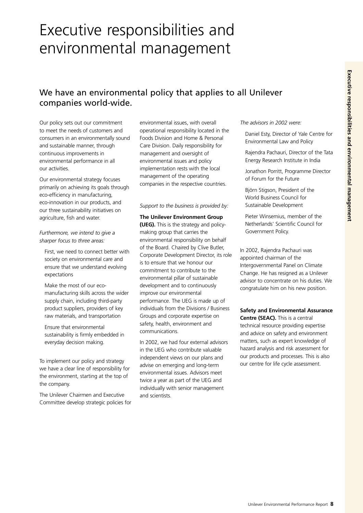## Executive responsibilities and environmental management

## We have an environmental policy that applies to all Unilever companies world-wide.

Our policy sets out our commitment to meet the needs of customers and consumers in an environmentally sound and sustainable manner, through continuous improvements in environmental performance in all our activities.

Our environmental strategy focuses primarily on achieving its goals through eco-efficiency in manufacturing, eco-innovation in our products, and our three sustainability initiatives on agriculture, fish and water.

*Furthermore, we intend to give a sharper focus to three areas:* 

First, we need to connect better with society on environmental care and ensure that we understand evolving expectations

Make the most of our ecomanufacturing skills across the wider supply chain, including third-party product suppliers, providers of key raw materials, and transportation

Ensure that environmental sustainability is firmly embedded in everyday decision making.

To implement our policy and strategy we have a clear line of responsibility for the environment, starting at the top of the company.

The Unilever Chairmen and Executive Committee develop strategic policies for environmental issues, with overall operational responsibility located in the Foods Division and Home & Personal Care Division. Daily responsibility for management and oversight of environmental issues and policy implementation rests with the local management of the operating companies in the respective countries.

#### *Support to the business is provided by:*

#### **The Unilever Environment Group**

**(UEG).** This is the strategy and policymaking group that carries the environmental responsibility on behalf of the Board. Chaired by Clive Butler, Corporate Development Director, its role is to ensure that we honour our commitment to contribute to the environmental pillar of sustainable development and to continuously improve our environmental performance. The UEG is made up of individuals from the Divisions / Business Groups and corporate expertise on safety, health, environment and communications.

In 2002, we had four external advisors in the UEG who contribute valuable independent views on our plans and advise on emerging and long-term environmental issues. Advisors meet twice a year as part of the UEG and individually with senior management and scientists.

*The advisors in 2002 were:* 

Daniel Esty, Director of Yale Centre for Environmental Law and Policy

Rajendra Pachauri, Director of the Tata Energy Research Institute in India

Jonathon Porritt, Programme Director of Forum for the Future

Björn Stigson, President of the World Business Council for Sustainable Development

Pieter Winsemius, member of the Netherlands' Scientific Council for Government Policy.

In 2002, Rajendra Pachauri was appointed chairman of the Intergovernmental Panel on Climate Change. He has resigned as a Unilever advisor to concentrate on his duties. We congratulate him on his new position.

**Safety and Environmental Assurance** 

**Centre (SEAC).** This is a central technical resource providing expertise and advice on safety and environment matters, such as expert knowledge of hazard analysis and risk assessment for our products and processes. This is also our centre for life cycle assessment.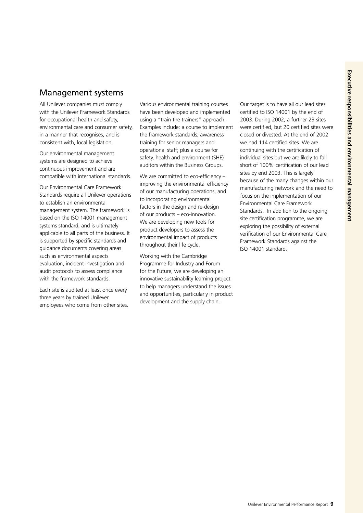### Management systems

All Unilever companies must comply with the Unilever Framework Standards for occupational health and safety, environmental care and consumer safety, in a manner that recognises, and is consistent with, local legislation.

Our environmental management systems are designed to achieve continuous improvement and are compatible with international standards.

Our Environmental Care Framework Standards require all Unilever operations to establish an environmental management system. The framework is based on the ISO 14001 management systems standard, and is ultimately applicable to all parts of the business. It is supported by specific standards and guidance documents covering areas such as environmental aspects evaluation, incident investigation and audit protocols to assess compliance with the framework standards.

Each site is audited at least once every three years by trained Unilever employees who come from other sites. Various environmental training courses have been developed and implemented using a "train the trainers" approach. Examples include: a course to implement the framework standards; awareness training for senior managers and operational staff; plus a course for safety, health and environment (SHE) auditors within the Business Groups.

We are committed to eco-efficiency improving the environmental efficiency of our manufacturing operations, and to incorporating environmental factors in the design and re-design of our products – eco-innovation. We are developing new tools for product developers to assess the environmental impact of products throughout their life cycle.

Working with the Cambridge Programme for Industry and Forum for the Future, we are developing an innovative sustainability learning project to help managers understand the issues and opportunities, particularly in product development and the supply chain.

Our target is to have all our lead sites certified to ISO 14001 by the end of 2003. During 2002, a further 23 sites were certified, but 20 certified sites were closed or divested. At the end of 2002 we had 114 certified sites. We are continuing with the certification of individual sites but we are likely to fall short of 100% certification of our lead sites by end 2003. This is largely because of the many changes within our manufacturing network and the need to focus on the implementation of our Environmental Care Framework Standards. In addition to the ongoing site certification programme, we are exploring the possibility of external verification of our Environmental Care Framework Standards against the ISO 14001 standard.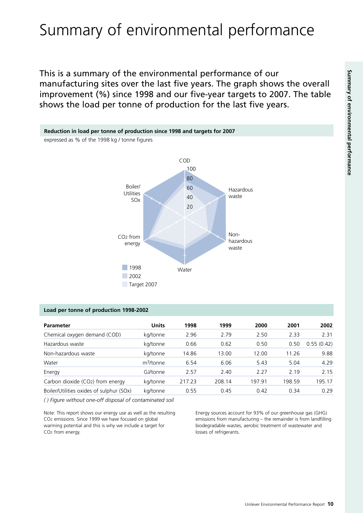# Summary of environmental performance

This is a summary of the environmental performance of our manufacturing sites over the last five years. The graph shows the overall improvement (%) since 1998 and our five-year targets to 2007. The table shows the load per tonne of production for the last five years.



### **Load per tonne of production 1998-2002**

| <b>Parameter</b>                         | <b>Units</b>          | 1998   | 1999   | 2000   | 2001   | 2002       |
|------------------------------------------|-----------------------|--------|--------|--------|--------|------------|
| Chemical oxygen demand (COD)             | kg/tonne              | 2.96   | 2.79   | 2.50   | 2.33   | 2.31       |
| Hazardous waste                          | kg/tonne              | 0.66   | 0.62   | 0.50   | 0.50   | 0.55(0.42) |
| Non-hazardous waste                      | kg/tonne              | 14.86  | 13.00  | 12.00  | 11.26  | 9.88       |
| Water                                    | m <sup>3</sup> /tonne | 6.54   | 6.06   | 5.43   | 5.04   | 4.29       |
| Energy                                   | GJ/tonne              | 2.57   | 2.40   | 2.27   | 2 1 9  | 2.15       |
| Carbon dioxide (CO2) from energy         | kg/tonne              | 217.23 | 208.14 | 197.91 | 198.59 | 195.17     |
| Boiler/Utilities oxides of sulphur (SOx) | kg/tonne              | 0.55   | 0.45   | 0.42   | 0.34   | 0.29       |

*( ) Figure without one-off disposal of contaminated soil* 

Note: This report shows our energy use as well as the resulting CO2 emissions. Since 1999 we have focused on global warming potential and this is why we include a target for CO2 from energy.

Energy sources account for 93% of our greenhouse gas (GHG) emissions from manufacturing – the remainder is from landfilling biodegradable wastes, aerobic treatment of wastewater and losses of refrigerants.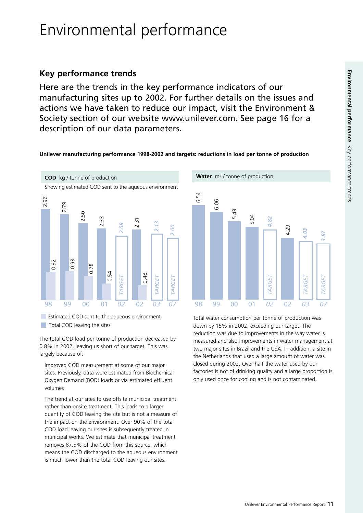## Environmental performance

### **Key performance trends**

Here are the trends in the key performance indicators of our manufacturing sites up to 2002. For further details on the issues and actions we have taken to reduce our impact, visit the Environment & Society section of our website www.unilever.com. See page 16 for a description of our data parameters.

### **Unilever manufacturing performance 1998-2002 and targets: reductions in load per tonne of production**



Estimated COD sent to the aqueous environment Total COD leaving the sites

The total COD load per tonne of production decreased by 0.8% in 2002, leaving us short of our target. This was largely because of:

Improved COD measurement at some of our major sites. Previously, data were estimated from Biochemical Oxygen Demand (BOD) loads or via estimated effluent volumes

The trend at our sites to use offsite municipal treatment rather than onsite treatment. This leads to a larger quantity of COD leaving the site but is not a measure of the impact on the environment. Over 90% of the total COD load leaving our sites is subsequently treated in municipal works. We estimate that municipal treatment removes 87.5% of the COD from this source, which means the COD discharged to the aqueous environment is much lower than the total COD leaving our sites.

6.54 6.06 5.43 5.04 *TARGET 4.82*  $4.82$ 4.29 *4.03 3.87 TARGET*  **TARGET TARGET TARGE** 98 99 00 01 *02* 02 *03 07* 

Total water consumption per tonne of production was down by 15% in 2002, exceeding our target. The reduction was due to improvements in the way water is measured and also improvements in water management at two major sites in Brazil and the USA. In addition, a site in the Netherlands that used a large amount of water was closed during 2002. Over half the water used by our factories is not of drinking quality and a large proportion is only used once for cooling and is not contaminated.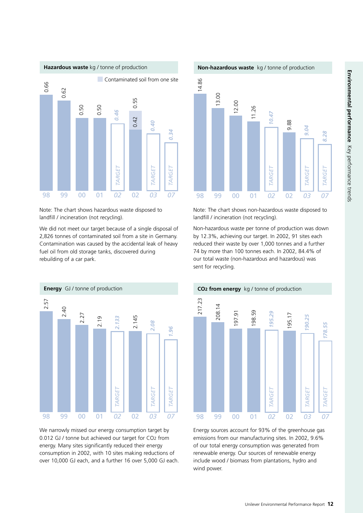

Note: The chart shows hazardous waste disposed to landfill / incineration (not recycling).

We did not meet our target because of a single disposal of 2,826 tonnes of contaminated soil from a site in Germany. Contamination was caused by the accidental leak of heavy fuel oil from old storage tanks, discovered during rebuilding of a car park.



We narrowly missed our energy consumption target by 0.012 GJ / tonne but achieved our target for CO2 from energy. Many sites significantly reduced their energy consumption in 2002, with 10 sites making reductions of over 10,000 GJ each, and a further 16 over 5,000 GJ each.





Note: The chart shows non-hazardous waste disposed to landfill / incineration (not recycling).

Non-hazardous waste per tonne of production was down by 12.3%, achieving our target. In 2002, 91 sites each reduced their waste by over 1,000 tonnes and a further 74 by more than 100 tonnes each. In 2002, 84.4% of our total waste (non-hazardous and hazardous) was sent for recycling.



Energy sources account for 93% of the greenhouse gas emissions from our manufacturing sites. In 2002, 9.6% of our total energy consumption was generated from renewable energy. Our sources of renewable energy include wood / biomass from plantations, hydro and wind power.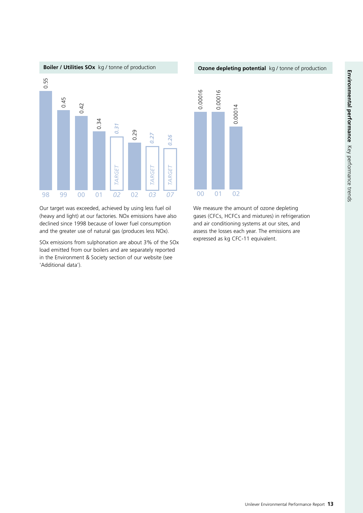

Our target was exceeded, achieved by using less fuel oil (heavy and light) at our factories. NOx emissions have also declined since 1998 because of lower fuel consumption and the greater use of natural gas (produces less NOx).

SOx emissions from sulphonation are about 3% of the SOx load emitted from our boilers and are separately reported in the Environment & Society section of our website (see 'Additional data').



We measure the amount of ozone depleting gases (CFCs, HCFCs and mixtures) in refrigeration and air conditioning systems at our sites, and assess the losses each year. The emissions are expressed as kg CFC-11 equivalent.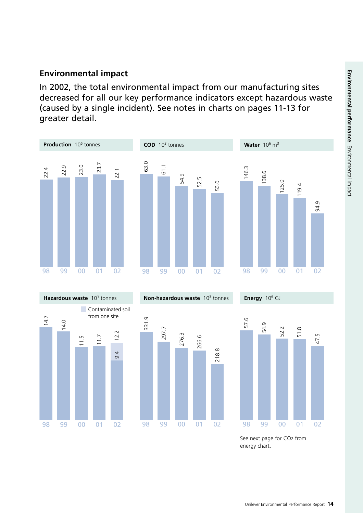### **Environmental impact**

In 2002, the total environmental impact from our manufacturing sites decreased for all our key performance indicators except hazardous waste (caused by a single incident). See notes in charts on pages 11-13 for greater detail.







**Energy** 106 GJ



See next page for CO2 from energy chart.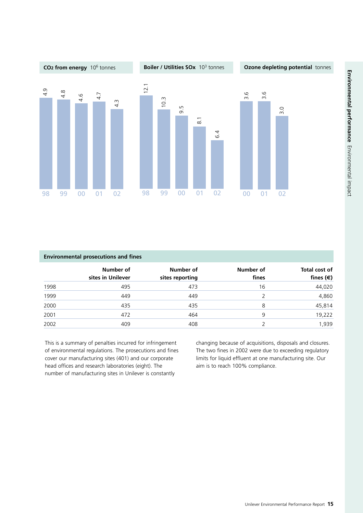

| <b>Environmental prosecutions and fines</b> |                                |                              |                    |                                     |  |  |
|---------------------------------------------|--------------------------------|------------------------------|--------------------|-------------------------------------|--|--|
|                                             | Number of<br>sites in Unilever | Number of<br>sites reporting | Number of<br>fines | Total cost of<br>fines $(\epsilon)$ |  |  |
| 1998                                        | 495                            | 473                          | 16                 | 44,020                              |  |  |
| 1999                                        | 449                            | 449                          | 2                  | 4,860                               |  |  |
| 2000                                        | 435                            | 435                          | 8                  | 45,814                              |  |  |
| 2001                                        | 472                            | 464                          | 9                  | 19,222                              |  |  |
| 2002                                        | 409                            | 408                          |                    | 1,939                               |  |  |

This is a summary of penalties incurred for infringement of environmental regulations. The prosecutions and fines cover our manufacturing sites (401) and our corporate head offices and research laboratories (eight). The number of manufacturing sites in Unilever is constantly

changing because of acquisitions, disposals and closures. The two fines in 2002 were due to exceeding regulatory limits for liquid effluent at one manufacturing site. Our aim is to reach 100% compliance.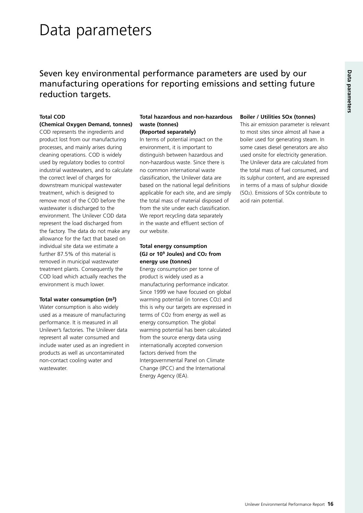## Data parameters

## Seven key environmental performance parameters are used by our manufacturing operations for reporting emissions and setting future reduction targets.

### **Total COD**

### **(Chemical Oxygen Demand, tonnes)**

COD represents the ingredients and product lost from our manufacturing processes, and mainly arises during cleaning operations. COD is widely used by regulatory bodies to control industrial wastewaters, and to calculate the correct level of charges for downstream municipal wastewater treatment, which is designed to remove most of the COD before the wastewater is discharged to the environment. The Unilever COD data represent the load discharged from the factory. The data do not make any allowance for the fact that based on individual site data we estimate a further 87.5% of this material is removed in municipal wastewater treatment plants. Consequently the COD load which actually reaches the environment is much lower.

### **Total water consumption (m3)**

Water consumption is also widely used as a measure of manufacturing performance. It is measured in all Unilever's factories. The Unilever data represent all water consumed and include water used as an ingredient in products as well as uncontaminated non-contact cooling water and wastewater.

### **Total hazardous and non-hazardous waste (tonnes)**

**(Reported separately)**  In terms of potential impact on the environment, it is important to distinguish between hazardous and non-hazardous waste. Since there is no common international waste classification, the Unilever data are based on the national legal definitions applicable for each site, and are simply the total mass of material disposed of from the site under each classification. We report recycling data separately in the waste and effluent section of our website.

### **Total energy consumption (GJ or 109 Joules) and CO2 from energy use (tonnes)**

Energy consumption per tonne of product is widely used as a manufacturing performance indicator. Since 1999 we have focused on global warming potential (in tonnes CO2) and this is why our targets are expressed in terms of CO2 from energy as well as energy consumption. The global warming potential has been calculated from the source energy data using internationally accepted conversion factors derived from the Intergovernmental Panel on Climate Change (IPCC) and the International Energy Agency (IEA).

#### **Boiler / Utilities SOx (tonnes)**

This air emission parameter is relevant to most sites since almost all have a boiler used for generating steam. In some cases diesel generators are also used onsite for electricity generation. The Unilever data are calculated from the total mass of fuel consumed, and its sulphur content, and are expressed in terms of a mass of sulphur dioxide (SO2). Emissions of SOx contribute to acid rain potential.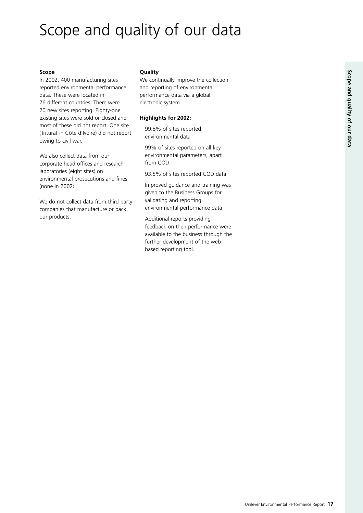## Scope and quality of our data

### **Scope**

In 2002, 400 manufacturing sites reported environmental performance data. These were located in 76 different countries. There were 20 new sites reporting. Eighty-one existing sites were sold or closed and most of these did not report. One site (Trituraf in Côte d'Ivoire) did not report owing to civil war.

We also collect data from our corporate head offices and research laboratories (eight sites) on environmental prosecutions and fines (none in 2002).

We do not collect data from third party companies that manufacture or pack our products.

### **Quality**

We continually improve the collection and reporting of environmental performance data via a global electronic system.

### **Highlights for 2002:**

99.8% of sites reported environmental data

99% of sites reported on all key environmental parameters, apart from COD

93.5% of sites reported COD data

Improved guidance and training was given to the Business Groups for validating and reporting environmental performance data

Additional reports providing feedback on their performance were available to the business through the further development of the webbased reporting tool.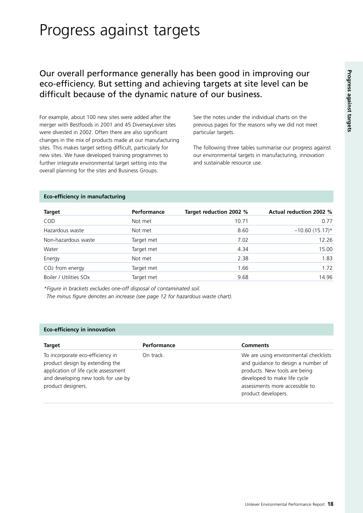## Progress against targets

### Our overall performance generally has been good in improving our eco-efficiency. But setting and achieving targets at site level can be difficult because of the dynamic nature of our business.

For example, about 100 new sites were added after the merger with Bestfoods in 2001 and 45 DiverseyLever sites were divested in 2002. Often there are also significant changes in the mix of products made at our manufacturing sites. This makes target setting difficult, particularly for new sites. We have developed training programmes to further integrate environmental target setting into the overall planning for the sites and Business Groups.

See the notes under the individual charts on the previous pages for the reasons why we did not meet particular targets.

The following three tables summarise our progress against our environmental targets in manufacturing, innovation and sustainable resource use.

| <b>Target</b>                      | <b>Performance</b> | Target reduction 2002 % | <b>Actual reduction 2002 %</b> |
|------------------------------------|--------------------|-------------------------|--------------------------------|
| COD                                | Not met            | 10.71                   | 0.77                           |
| Hazardous waste                    | Not met            | 8.60                    | $-10.60(15.17)$ *              |
| Non-hazardous waste                | Target met         | 7.02                    | 12.26                          |
| Water                              | Target met         | 4.34                    | 15.00                          |
| Energy                             | Not met            | 2.38                    | 1.83                           |
| CO <sub>2</sub> from energy        | Target met         | 1.66                    | 1.72                           |
| Boiler / Utilities SO <sub>x</sub> | Target met         | 9.68                    | 14.96                          |

#### **Eco-efficiency in manufacturing**

*\*Figure in brackets excludes one-off disposal of contaminated soil.* 

*The minus figure denotes an increase (see page 12 for hazardous waste chart).* 

### **Eco-efficiency in innovation**

| <b>Target</b>                                                                                                                                                            | Performance | Comments                                                                                                                                                                                              |
|--------------------------------------------------------------------------------------------------------------------------------------------------------------------------|-------------|-------------------------------------------------------------------------------------------------------------------------------------------------------------------------------------------------------|
| To incorporate eco-efficiency in<br>product design by extending the<br>application of life cycle assessment<br>and developing new tools for use by<br>product designers. | On track.   | We are using environmental checklists<br>and guidance to design a number of<br>products. New tools are being<br>developed to make life cycle<br>assessments more accessible to<br>product developers. |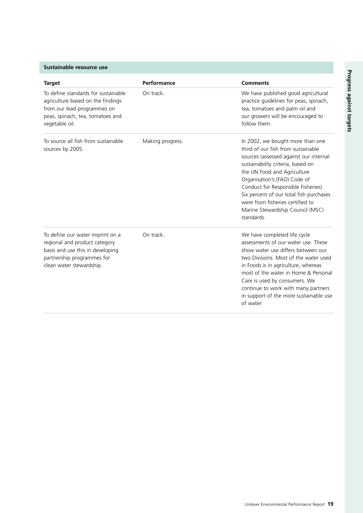| <b>Target</b>                                                                                                                                                   | Performance      | <b>Comments</b>                                                                                                                                                                                                                                                                                                                                                                              |
|-----------------------------------------------------------------------------------------------------------------------------------------------------------------|------------------|----------------------------------------------------------------------------------------------------------------------------------------------------------------------------------------------------------------------------------------------------------------------------------------------------------------------------------------------------------------------------------------------|
| To define standards for sustainable<br>agriculture based on the findings<br>from our lead programmes on<br>peas, spinach, tea, tomatoes and<br>vegetable oil.   | On track.        | We have published good agricultural<br>practice guidelines for peas, spinach,<br>tea, tomatoes and palm oil and<br>our growers will be encouraged to<br>follow them.                                                                                                                                                                                                                         |
| To source all fish from sustainable<br>sources by 2005.                                                                                                         | Making progress. | In 2002, we bought more than one<br>third of our fish from sustainable<br>sources (assessed against our internal<br>sustainability criteria, based on<br>the UN Food and Agriculture<br>Organisation's (FAO) Code of<br>Conduct for Responsible Fisheries).<br>Six percent of our total fish purchases<br>were from fisheries certified to<br>Marine Stewardship Council (MSC)<br>standards. |
| To define our water imprint on a<br>regional and product category<br>basis and use this in developing<br>partnership programmes for<br>clean water stewardship. | On track.        | We have completed life cycle<br>assessments of our water use. These<br>show water use differs between our<br>two Divisions. Most of the water used<br>in Foods is in agriculture, whereas<br>most of the water in Home & Personal<br>Care is used by consumers. We<br>continue to work with many partners<br>in support of the more sustainable use<br>of water.                             |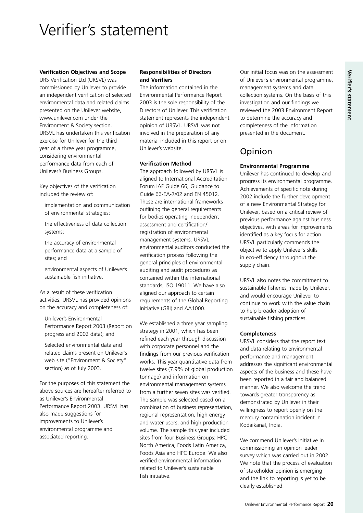## Verifier's statement

### **Verification Objectives and Scope**

URS Verification Ltd (URSVL) was commissioned by Unilever to provide an independent verification of selected environmental data and related claims presented on the Unilever website, www.unilever.com under the Environment & Society section. URSVL has undertaken this verification exercise for Unilever for the third year of a three year programme, considering environmental performance data from each of Unilever's Business Groups.

Key objectives of the verification included the review of:

- implementation and communication of environmental strategies;
- the effectiveness of data collection systems;
- the accuracy of environmental performance data at a sample of sites; and
- environmental aspects of Unilever's sustainable fish initiative.

As a result of these verification activities, URSVL has provided opinions on the accuracy and completeness of:

Unilever's Environmental Performance Report 2003 (Report on progress and 2002 data); and

Selected environmental data and related claims present on Unilever's web site ("Environment & Society" section) as of July 2003.

For the purposes of this statement the above sources are hereafter referred to as Unilever's Environmental Performance Report 2003. URSVL has also made suggestions for improvements to Unilever's environmental programme and associated reporting.

### **Responsibilities of Directors and Verifiers**

The information contained in the Environmental Performance Report 2003 is the sole responsibility of the Directors of Unilever. This verification statement represents the independent opinion of URSVL. URSVL was not involved in the preparation of any material included in this report or on Unilever's website.

### **Verification Method**

The approach followed by URSVL is aligned to International Accreditation Forum IAF Guide 66, Guidance to Guide 66-EA-7/02 and EN 45012. These are international frameworks outlining the general requirements for bodies operating independent assessment and certification/ registration of environmental management systems. URSVL environmental auditors conducted the verification process following the general principles of environmental auditing and audit procedures as contained within the international standards, ISO 19011. We have also aligned our approach to certain requirements of the Global Reporting Initiative (GRI) and AA1000.

We established a three year sampling strategy in 2001, which has been refined each year through discussion with corporate personnel and the findings from our previous verification works. This year quantitative data from twelve sites (7.9% of global production tonnage) and information on environmental management systems from a further seven sites was verified. The sample was selected based on a combination of business representation, regional representation, high energy and water users, and high production volume. The sample this year included sites from four Business Groups: HPC North America, Foods Latin America, Foods Asia and HPC Europe. We also verified environmental information related to Unilever's sustainable fish initiative.

Our initial focus was on the assessment of Unilever's environmental programme, management systems and data collection systems. On the basis of this investigation and our findings we reviewed the 2003 Environment Report to determine the accuracy and completeness of the information presented in the document.

### Opinion

### **Environmental Programme**

Unilever has continued to develop and progress its environmental programme. Achievements of specific note during 2002 include the further development of a new Environmental Strategy for Unilever, based on a critical review of previous performance against business objectives, with areas for improvements identified as a key focus for action. URSVL particularly commends the objective to apply Unilever's skills in eco-efficiency throughout the supply chain.

URSVL also notes the commitment to sustainable fisheries made by Unilever, and would encourage Unilever to continue to work with the value chain to help broader adoption of sustainable fishing practices.

#### **Completeness**

URSVL considers that the report text and data relating to environmental performance and management addresses the significant environmental aspects of the business and these have been reported in a fair and balanced manner. We also welcome the trend towards greater transparency as demonstrated by Unilever in their willingness to report openly on the mercury contamination incident in Kodaikanal, India.

We commend Unilever's initiative in commissioning an opinion leader survey which was carried out in 2002. We note that the process of evaluation of stakeholder opinion is emerging and the link to reporting is yet to be clearly established.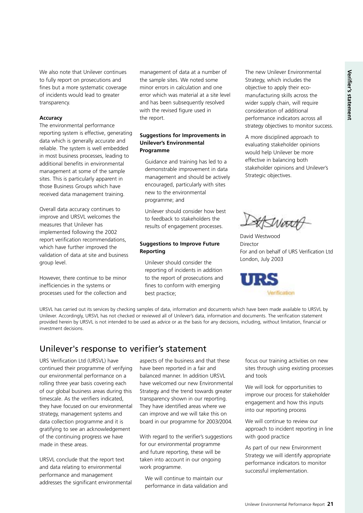We also note that Unilever continues to fully report on prosecutions and fines but a more systematic coverage of incidents would lead to greater transparency.

#### **Accuracy**

The environmental performance reporting system is effective, generating data which is generally accurate and reliable. The system is well embedded in most business processes, leading to additional benefits in environmental management at some of the sample sites. This is particularly apparent in those Business Groups which have received data management training.

Overall data accuracy continues to improve and URSVL welcomes the measures that Unilever has implemented following the 2002 report verification recommendations, which have further improved the validation of data at site and business group level.

However, there continue to be minor inefficiencies in the systems or processes used for the collection and management of data at a number of the sample sites. We noted some minor errors in calculation and one error which was material at a site level and has been subsequently resolved with the revised figure used in the report.

### **Suggestions for Improvements in Unilever's Environmental Programme**

Guidance and training has led to a demonstrable improvement in data management and should be actively encouraged, particularly with sites new to the environmental programme; and

Unilever should consider how best to feedback to stakeholders the results of engagement processes.

### **Suggestions to Improve Future Reporting**

Unilever should consider the reporting of incidents in addition to the report of prosecutions and fines to conform with emerging best practice;

The new Unilever Environmental Strategy, which includes the objective to apply their ecomanufacturing skills across the wider supply chain, will require consideration of additional performance indicators across all strategy objectives to monitor success.

A more disciplined approach to evaluating stakeholder opinions would help Unilever be more effective in balancing both stakeholder opinions and Unilever's Strategic objectives.

ASWord

David Westwood Director For and on behalf of URS Verification Ltd London, July 2003



URSVL has carried out its services by checking samples of data, information and documents which have been made available to URSVL by Unilever. Accordingly, URSVL has not checked or reviewed all of Unilever's data, information and documents. The verification statement provided herein by URSVL is not intended to be used as advice or as the basis for any decisions, including, without limitation, financial or investment decisions.

### Unilever's response to verifier's statement

URS Verification Ltd (URSVL) have continued their programme of verifying our environmental performance on a rolling three year basis covering each of our global business areas during this timescale. As the verifiers indicated, they have focused on our environmental strategy, management systems and data collection programme and it is gratifying to see an acknowledgement of the continuing progress we have made in these areas.

URSVL conclude that the report text and data relating to environmental performance and management addresses the significant environmental

aspects of the business and that these have been reported in a fair and balanced manner. In addition URSVL have welcomed our new Environmental Strategy and the trend towards greater transparency shown in our reporting. They have identified areas where we can improve and we will take this on board in our programme for 2003/2004.

With regard to the verifier's suggestions for our environmental programme and future reporting, these will be taken into account in our ongoing work programme.

We will continue to maintain our performance in data validation and focus our training activities on new sites through using existing processes and tools

We will look for opportunities to improve our process for stakeholder engagement and how this inputs into our reporting process

We will continue to review our approach to incident reporting in line with good practice

As part of our new Environment Strategy we will identify appropriate performance indicators to monitor successful implementation.